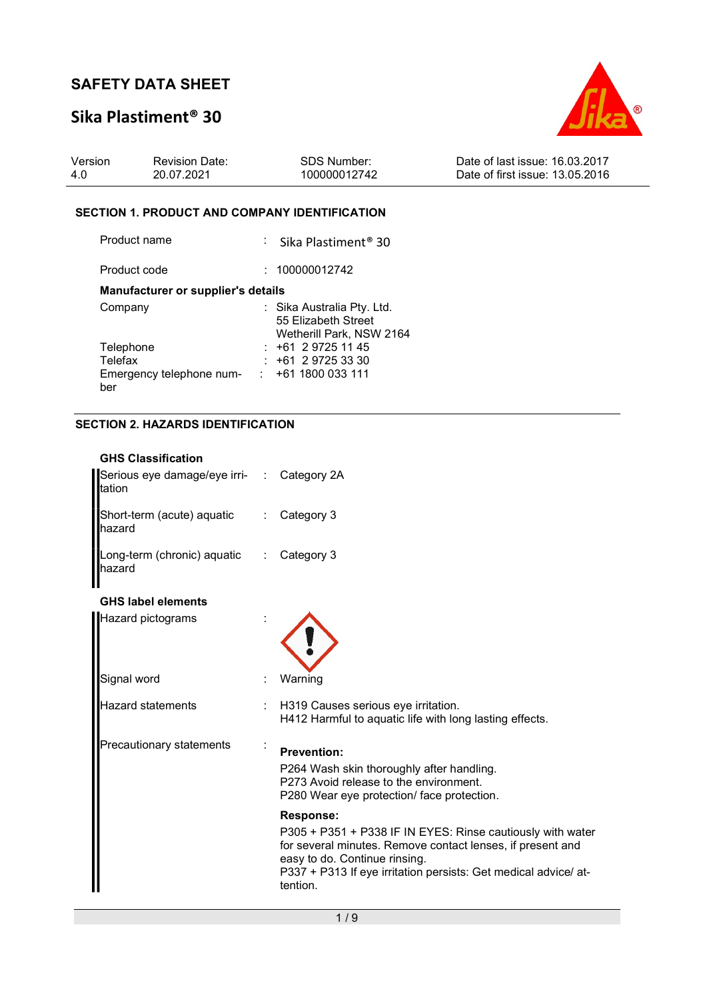## Sika Plastiment® 30



| Version | <b>Revision Date:</b> | <b>SDS Number:</b> | Date of last issue: 16.03.2017  |
|---------|-----------------------|--------------------|---------------------------------|
| 4.0     | 20.07.2021            | 100000012742       | Date of first issue: 13.05.2016 |

### SECTION 1. PRODUCT AND COMPANY IDENTIFICATION

| Product name                              | : Sika Plastiment <sup>®</sup> 30                                             |
|-------------------------------------------|-------------------------------------------------------------------------------|
| Product code                              | 100000012742                                                                  |
| <b>Manufacturer or supplier's details</b> |                                                                               |
| Company                                   | : Sika Australia Pty. Ltd.<br>55 Elizabeth Street<br>Wetherill Park, NSW 2164 |
| Telephone                                 | $: +61297251145$                                                              |
| Telefax                                   | $+61$ 2 9725 33 30                                                            |
| Emergency telephone num-<br>ber           | $\div$ +61 1800 033 111                                                       |

### SECTION 2. HAZARDS IDENTIFICATION

| <b>GHS Classification</b>                            |                              |                                                                                                                                                                                                                                                       |
|------------------------------------------------------|------------------------------|-------------------------------------------------------------------------------------------------------------------------------------------------------------------------------------------------------------------------------------------------------|
| Serious eye damage/eye irri- : Category 2A<br>tation |                              |                                                                                                                                                                                                                                                       |
| Short-term (acute) aquatic<br>hazard                 | $\mathcal{L}_{\mathrm{max}}$ | Category 3                                                                                                                                                                                                                                            |
| Long-term (chronic) aquatic<br>hazard                |                              | Category 3                                                                                                                                                                                                                                            |
| <b>GHS label elements</b>                            |                              |                                                                                                                                                                                                                                                       |
| Hazard pictograms                                    |                              |                                                                                                                                                                                                                                                       |
| Signal word                                          |                              | Warning                                                                                                                                                                                                                                               |
| Hazard statements                                    |                              | H319 Causes serious eye irritation.<br>H412 Harmful to aquatic life with long lasting effects.                                                                                                                                                        |
| Precautionary statements                             |                              | <b>Prevention:</b>                                                                                                                                                                                                                                    |
|                                                      |                              | P264 Wash skin thoroughly after handling.<br>P273 Avoid release to the environment.<br>P280 Wear eye protection/face protection.                                                                                                                      |
|                                                      |                              | Response:<br>P305 + P351 + P338 IF IN EYES: Rinse cautiously with water<br>for several minutes. Remove contact lenses, if present and<br>easy to do. Continue rinsing.<br>P337 + P313 If eye irritation persists: Get medical advice/ at-<br>tention. |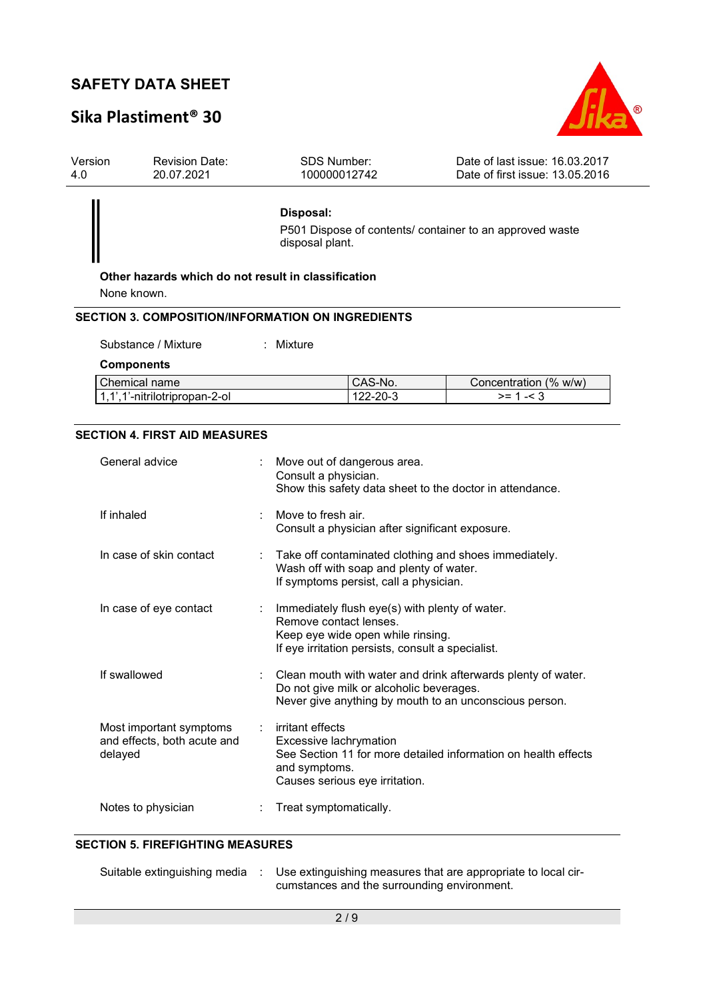# Sika Plastiment® 30



| Version<br>4.0 | <b>Revision Date:</b><br>20.07.2021                                     |   | <b>SDS Number:</b><br>100000012742                          |                                                                                                                                          | Date of last issue: 16.03.2017<br>Date of first issue: 13.05.2016                                                      |
|----------------|-------------------------------------------------------------------------|---|-------------------------------------------------------------|------------------------------------------------------------------------------------------------------------------------------------------|------------------------------------------------------------------------------------------------------------------------|
|                | Other hazards which do not result in classification                     |   | Disposal:<br>disposal plant.                                |                                                                                                                                          | P501 Dispose of contents/ container to an approved waste                                                               |
|                | None known.<br><b>SECTION 3. COMPOSITION/INFORMATION ON INGREDIENTS</b> |   |                                                             |                                                                                                                                          |                                                                                                                        |
|                | Substance / Mixture                                                     |   | : Mixture                                                   |                                                                                                                                          |                                                                                                                        |
|                | <b>Components</b><br>Chemical name<br>1,1',1'-nitrilotripropan-2-ol     |   |                                                             | CAS-No.<br>122-20-3                                                                                                                      | Concentration (% w/w)<br>$>= 1 - 3$                                                                                    |
|                | <b>SECTION 4. FIRST AID MEASURES</b>                                    |   |                                                             |                                                                                                                                          |                                                                                                                        |
|                | General advice                                                          |   | Consult a physician.                                        | Move out of dangerous area.                                                                                                              | Show this safety data sheet to the doctor in attendance.                                                               |
|                | If inhaled                                                              |   | Move to fresh air.                                          | Consult a physician after significant exposure.                                                                                          |                                                                                                                        |
|                | In case of skin contact                                                 |   |                                                             | Wash off with soap and plenty of water.<br>If symptoms persist, call a physician.                                                        | Take off contaminated clothing and shoes immediately.                                                                  |
|                | In case of eye contact                                                  | ÷ | Remove contact lenses.                                      | Immediately flush eye(s) with plenty of water.<br>Keep eye wide open while rinsing.<br>If eye irritation persists, consult a specialist. |                                                                                                                        |
|                | If swallowed                                                            |   |                                                             | Do not give milk or alcoholic beverages.                                                                                                 | Clean mouth with water and drink afterwards plenty of water.<br>Never give anything by mouth to an unconscious person. |
|                | Most important symptoms<br>and effects, both acute and<br>delayed       |   | irritant effects<br>Excessive lachrymation<br>and symptoms. | Causes serious eye irritation.                                                                                                           | See Section 11 for more detailed information on health effects                                                         |
|                | Notes to physician                                                      |   | Treat symptomatically.                                      |                                                                                                                                          |                                                                                                                        |

#### SECTION 5. FIREFIGHTING MEASURES

| Suitable extinguishing media : |  | : Use extinguishing measures that are appropriate to local cir- |
|--------------------------------|--|-----------------------------------------------------------------|
|                                |  | cumstances and the surrounding environment.                     |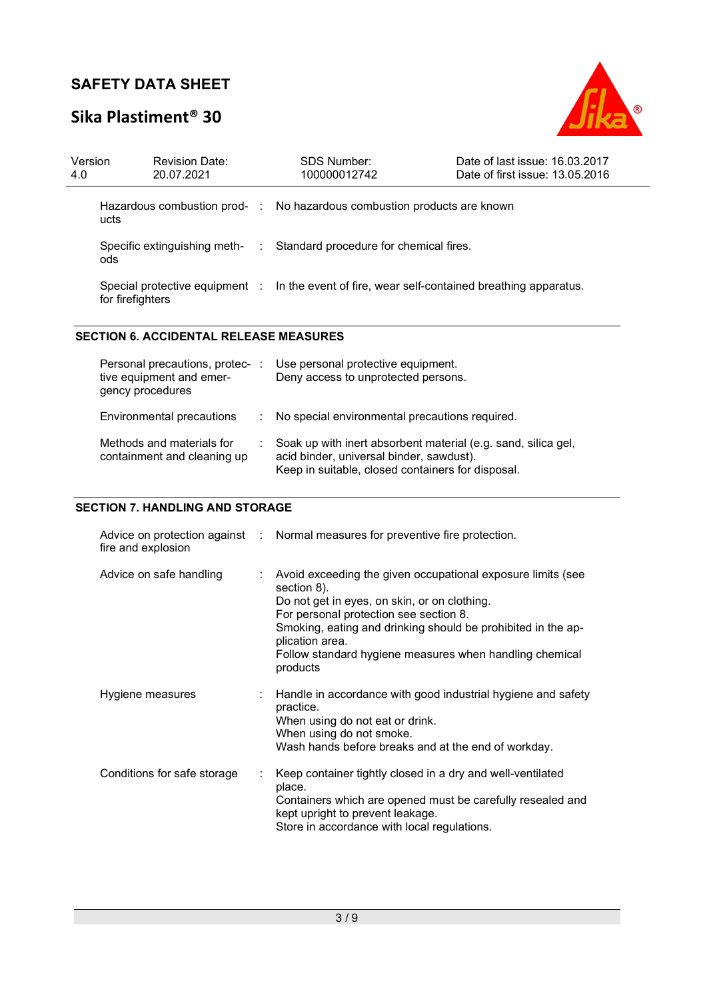# Sika Plastiment® 30



| Version<br>4.0 | <b>Revision Date:</b><br>20.07.2021  |    | SDS Number:<br>100000012742                                                                   | Date of last issue: 16.03.2017<br>Date of first issue: 13.05.2016 |
|----------------|--------------------------------------|----|-----------------------------------------------------------------------------------------------|-------------------------------------------------------------------|
|                | ucts                                 |    | Hazardous combustion prod- : No hazardous combustion products are known                       |                                                                   |
|                | Specific extinguishing meth-<br>ods. | ÷. | Standard procedure for chemical fires.                                                        |                                                                   |
|                | for firefighters                     |    | Special protective equipment : In the event of fire, wear self-contained breathing apparatus. |                                                                   |

#### SECTION 6. ACCIDENTAL RELEASE MEASURES

| Personal precautions, protec-<br>tive equipment and emer-<br>gency procedures | Use personal protective equipment.<br>Deny access to unprotected persons.                                                                                      |
|-------------------------------------------------------------------------------|----------------------------------------------------------------------------------------------------------------------------------------------------------------|
| Environmental precautions                                                     | : No special environmental precautions required.                                                                                                               |
| Methods and materials for<br>containment and cleaning up                      | Soak up with inert absorbent material (e.g. sand, silica gel,<br>acid binder, universal binder, sawdust).<br>Keep in suitable, closed containers for disposal. |

### SECTION 7. HANDLING AND STORAGE

| fire and explosion          |   | Advice on protection against : Normal measures for preventive fire protection.                                                                                                                                                                                                                                                 |
|-----------------------------|---|--------------------------------------------------------------------------------------------------------------------------------------------------------------------------------------------------------------------------------------------------------------------------------------------------------------------------------|
| Advice on safe handling     | ÷ | Avoid exceeding the given occupational exposure limits (see<br>section 8).<br>Do not get in eyes, on skin, or on clothing.<br>For personal protection see section 8.<br>Smoking, eating and drinking should be prohibited in the ap-<br>plication area.<br>Follow standard hygiene measures when handling chemical<br>products |
| Hygiene measures            |   | Handle in accordance with good industrial hygiene and safety<br>practice.<br>When using do not eat or drink.<br>When using do not smoke.<br>Wash hands before breaks and at the end of workday.                                                                                                                                |
| Conditions for safe storage |   | Keep container tightly closed in a dry and well-ventilated<br>place.<br>Containers which are opened must be carefully resealed and<br>kept upright to prevent leakage.<br>Store in accordance with local regulations.                                                                                                          |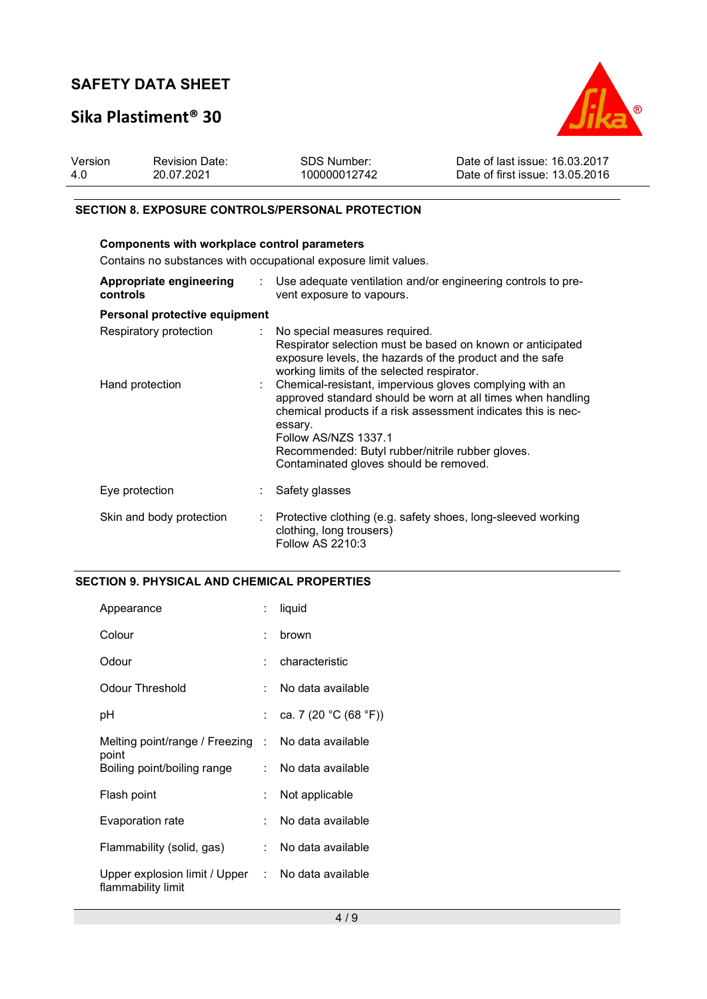### Sika Plastiment® 30



| Version | <b>Revision Date:</b> | SDS Number:  | Date of last issue: 16.03.2017  |
|---------|-----------------------|--------------|---------------------------------|
| 4.0     | 20.07.2021            | 100000012742 | Date of first issue: 13.05.2016 |

#### SECTION 8. EXPOSURE CONTROLS/PERSONAL PROTECTION

### Components with workplace control parameters

Contains no substances with occupational exposure limit values.

| Appropriate engineering<br>controls | Use adequate ventilation and/or engineering controls to pre-<br>vent exposure to vapours.                                                                                                                                                                                                                                |
|-------------------------------------|--------------------------------------------------------------------------------------------------------------------------------------------------------------------------------------------------------------------------------------------------------------------------------------------------------------------------|
| Personal protective equipment       |                                                                                                                                                                                                                                                                                                                          |
| Respiratory protection              | : No special measures required.<br>Respirator selection must be based on known or anticipated<br>exposure levels, the hazards of the product and the safe<br>working limits of the selected respirator.                                                                                                                  |
| Hand protection                     | Chemical-resistant, impervious gloves complying with an<br>approved standard should be worn at all times when handling<br>chemical products if a risk assessment indicates this is nec-<br>essary.<br>Follow AS/NZS 1337.1<br>Recommended: Butyl rubber/nitrile rubber gloves.<br>Contaminated gloves should be removed. |
| Eye protection                      | Safety glasses                                                                                                                                                                                                                                                                                                           |
| Skin and body protection<br>÷       | Protective clothing (e.g. safety shoes, long-sleeved working<br>clothing, long trousers)<br>Follow AS 2210:3                                                                                                                                                                                                             |

### SECTION 9. PHYSICAL AND CHEMICAL PROPERTIES

| Appearance                                                              | ÷. | liquid                |
|-------------------------------------------------------------------------|----|-----------------------|
| Colour                                                                  | ÷  | brown                 |
| Odour                                                                   |    | $:$ characteristic    |
| Odour Threshold                                                         |    | No data available     |
| рH                                                                      |    | ca. 7 (20 °C (68 °F)) |
| Melting point/range / Freezing : No data available<br>point             |    |                       |
| Boiling point/boiling range                                             |    | : No data available   |
| Flash point                                                             |    | Not applicable        |
| Evaporation rate                                                        | t. | No data available     |
| Flammability (solid, gas)                                               |    | : No data available   |
| Upper explosion limit / Upper : No data available<br>flammability limit |    |                       |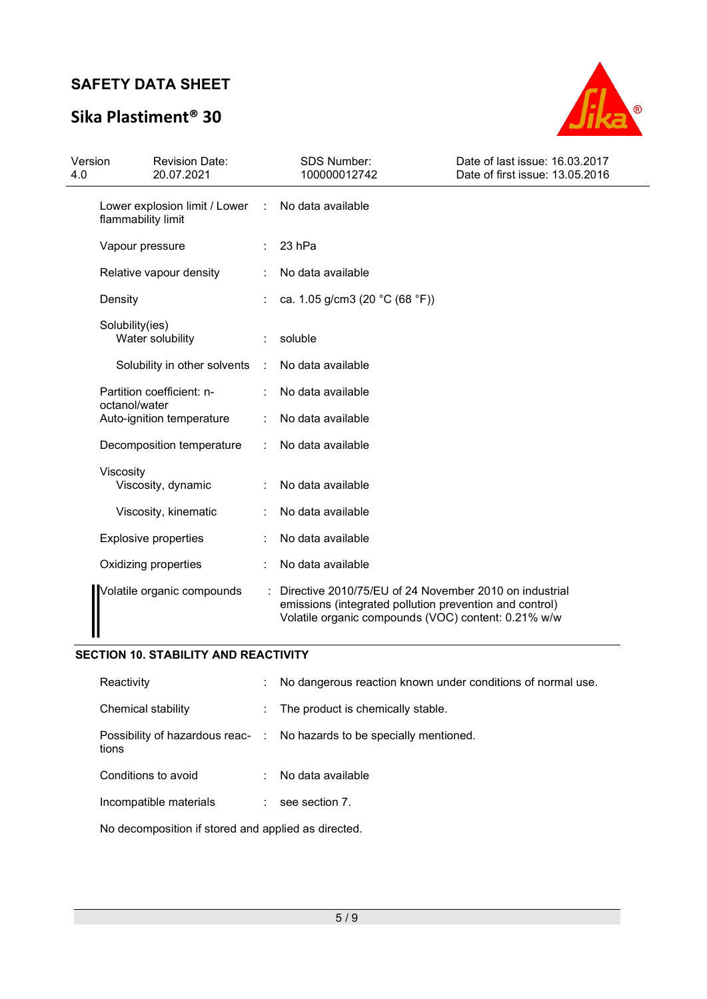# Sika Plastiment® 30



| Version<br>4.0 |                                     | <b>Revision Date:</b><br>20.07.2021 |   | <b>SDS Number:</b><br>100000012742                                                                                                                                       | Date of last issue: 16.03.2017<br>Date of first issue: 13.05.2016 |
|----------------|-------------------------------------|-------------------------------------|---|--------------------------------------------------------------------------------------------------------------------------------------------------------------------------|-------------------------------------------------------------------|
|                | flammability limit                  | Lower explosion limit / Lower       | ÷ | No data available                                                                                                                                                        |                                                                   |
|                | Vapour pressure                     |                                     |   | 23 hPa                                                                                                                                                                   |                                                                   |
|                | Relative vapour density             |                                     |   | No data available                                                                                                                                                        |                                                                   |
|                | Density                             |                                     |   | ca. 1.05 g/cm3 (20 °C (68 °F))                                                                                                                                           |                                                                   |
|                | Solubility(ies)<br>Water solubility |                                     |   | soluble                                                                                                                                                                  |                                                                   |
|                |                                     | Solubility in other solvents        | ÷ | No data available                                                                                                                                                        |                                                                   |
|                | octanol/water                       | Partition coefficient: n-           |   | No data available                                                                                                                                                        |                                                                   |
|                |                                     | Auto-ignition temperature           |   | No data available                                                                                                                                                        |                                                                   |
|                |                                     | Decomposition temperature           |   | No data available                                                                                                                                                        |                                                                   |
|                | Viscosity                           | Viscosity, dynamic                  |   | No data available                                                                                                                                                        |                                                                   |
|                |                                     | Viscosity, kinematic                |   | No data available                                                                                                                                                        |                                                                   |
|                |                                     | <b>Explosive properties</b>         |   | No data available                                                                                                                                                        |                                                                   |
|                |                                     | Oxidizing properties                |   | No data available                                                                                                                                                        |                                                                   |
|                |                                     | Volatile organic compounds          |   | Directive 2010/75/EU of 24 November 2010 on industrial<br>emissions (integrated pollution prevention and control)<br>Volatile organic compounds (VOC) content: 0.21% w/w |                                                                   |

### SECTION 10. STABILITY AND REACTIVITY

| Chemical stability<br>: The product is chemically stable.<br>Possibility of hazardous reac- : No hazards to be specially mentioned. | Reactivity | ÷. | No dangerous reaction known under conditions of normal use. |
|-------------------------------------------------------------------------------------------------------------------------------------|------------|----|-------------------------------------------------------------|
|                                                                                                                                     |            |    |                                                             |
|                                                                                                                                     | tions      |    |                                                             |
| Conditions to avoid<br>No data available                                                                                            |            |    |                                                             |
| Incompatible materials<br>see section 7.                                                                                            |            |    |                                                             |

No decomposition if stored and applied as directed.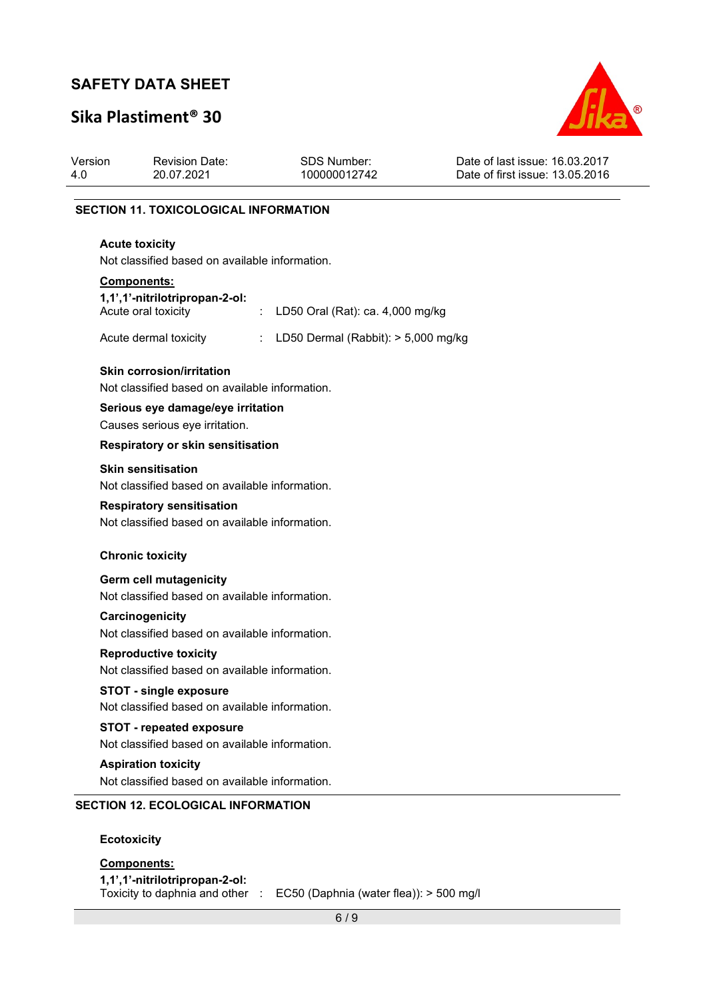# Sika Plastiment® 30



| Version<br>4.0 | <b>Revision Date:</b><br>20.07.2021                                                | <b>SDS Number:</b><br>100000012742  | Date of last issue: 16.03.2017<br>Date of first issue: 13.05.2016 |
|----------------|------------------------------------------------------------------------------------|-------------------------------------|-------------------------------------------------------------------|
|                | <b>SECTION 11. TOXICOLOGICAL INFORMATION</b>                                       |                                     |                                                                   |
|                | <b>Acute toxicity</b><br>Not classified based on available information.            |                                     |                                                                   |
|                | <b>Components:</b><br>1,1',1'-nitrilotripropan-2-ol:<br>Acute oral toxicity        | LD50 Oral (Rat): ca. 4,000 mg/kg    |                                                                   |
|                | Acute dermal toxicity                                                              | LD50 Dermal (Rabbit): > 5,000 mg/kg |                                                                   |
|                | <b>Skin corrosion/irritation</b><br>Not classified based on available information. |                                     |                                                                   |
|                | Serious eye damage/eye irritation<br>Causes serious eye irritation.                |                                     |                                                                   |
|                | Respiratory or skin sensitisation                                                  |                                     |                                                                   |
|                | <b>Skin sensitisation</b><br>Not classified based on available information.        |                                     |                                                                   |
|                | <b>Respiratory sensitisation</b><br>Not classified based on available information. |                                     |                                                                   |
|                | <b>Chronic toxicity</b>                                                            |                                     |                                                                   |
|                | Germ cell mutagenicity<br>Not classified based on available information.           |                                     |                                                                   |
|                | Carcinogenicity<br>Not classified based on available information.                  |                                     |                                                                   |
|                | <b>Reproductive toxicity</b><br>Not classified based on available information.     |                                     |                                                                   |
|                | <b>STOT - single exposure</b><br>Not classified based on available information.    |                                     |                                                                   |
|                | <b>STOT - repeated exposure</b><br>Not classified based on available information.  |                                     |                                                                   |
|                | <b>Aspiration toxicity</b><br>Not classified based on available information.       |                                     |                                                                   |
|                | <b>SECTION 12. ECOLOGICAL INFORMATION</b>                                          |                                     |                                                                   |
|                | <b>Ecotoxicity</b>                                                                 |                                     |                                                                   |
|                | Components:                                                                        |                                     |                                                                   |

1,1',1'-nitrilotripropan-2-ol:

Toxicity to daphnia and other : EC50 (Daphnia (water flea)): > 500 mg/l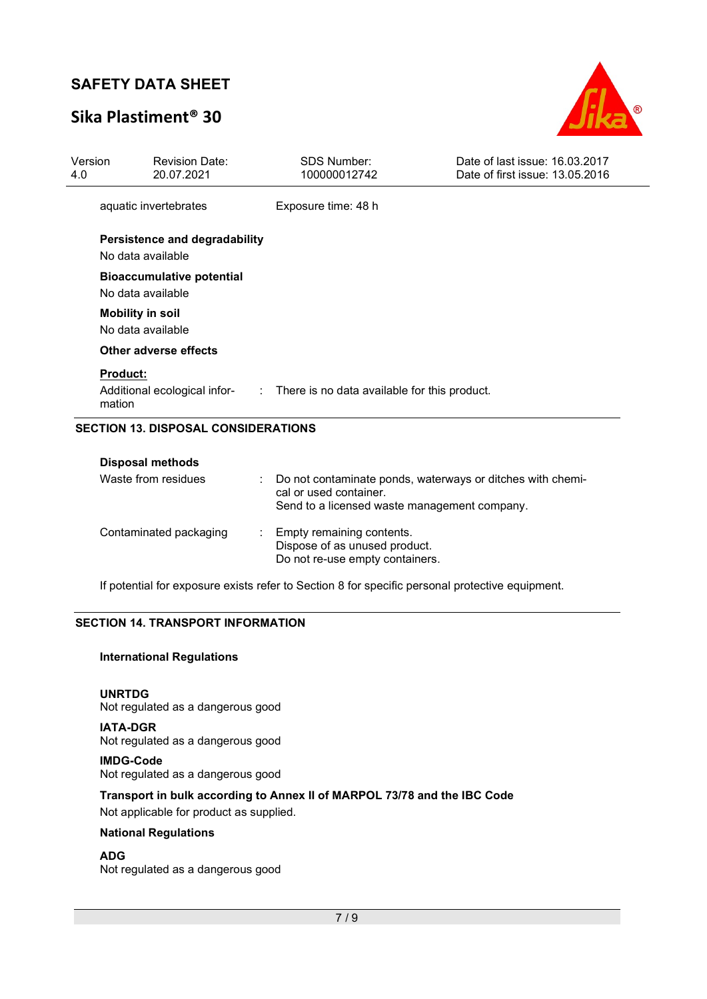## Sika Plastiment® 30



| Version<br>4.0                             | <b>Revision Date:</b><br>20.07.2021                       | <b>SDS Number:</b><br>100000012742                                                                                                   | Date of last issue: 16.03.2017<br>Date of first issue: 13.05.2016 |  |
|--------------------------------------------|-----------------------------------------------------------|--------------------------------------------------------------------------------------------------------------------------------------|-------------------------------------------------------------------|--|
|                                            | aquatic invertebrates                                     | Exposure time: 48 h                                                                                                                  |                                                                   |  |
|                                            | <b>Persistence and degradability</b><br>No data available |                                                                                                                                      |                                                                   |  |
|                                            | <b>Bioaccumulative potential</b><br>No data available     |                                                                                                                                      |                                                                   |  |
|                                            | <b>Mobility in soil</b><br>No data available              |                                                                                                                                      |                                                                   |  |
|                                            | Other adverse effects                                     |                                                                                                                                      |                                                                   |  |
|                                            | <b>Product:</b><br>mation                                 | Additional ecological infor- : There is no data available for this product.                                                          |                                                                   |  |
| <b>SECTION 13. DISPOSAL CONSIDERATIONS</b> |                                                           |                                                                                                                                      |                                                                   |  |
|                                            | <b>Disposal methods</b>                                   |                                                                                                                                      |                                                                   |  |
|                                            | Waste from residues                                       | Do not contaminate ponds, waterways or ditches with chemi-<br>cal or used container.<br>Send to a licensed waste management company. |                                                                   |  |

### Contaminated packaging : Empty remaining contents. Dispose of as unused product. Do not re-use empty containers.

If potential for exposure exists refer to Section 8 for specific personal protective equipment.

#### SECTION 14. TRANSPORT INFORMATION

#### International Regulations

#### UNRTDG

Not regulated as a dangerous good

#### IATA-DGR

Not regulated as a dangerous good

### IMDG-Code

Not regulated as a dangerous good

#### Transport in bulk according to Annex II of MARPOL 73/78 and the IBC Code Not applicable for product as supplied.

National Regulations

#### ADG

Not regulated as a dangerous good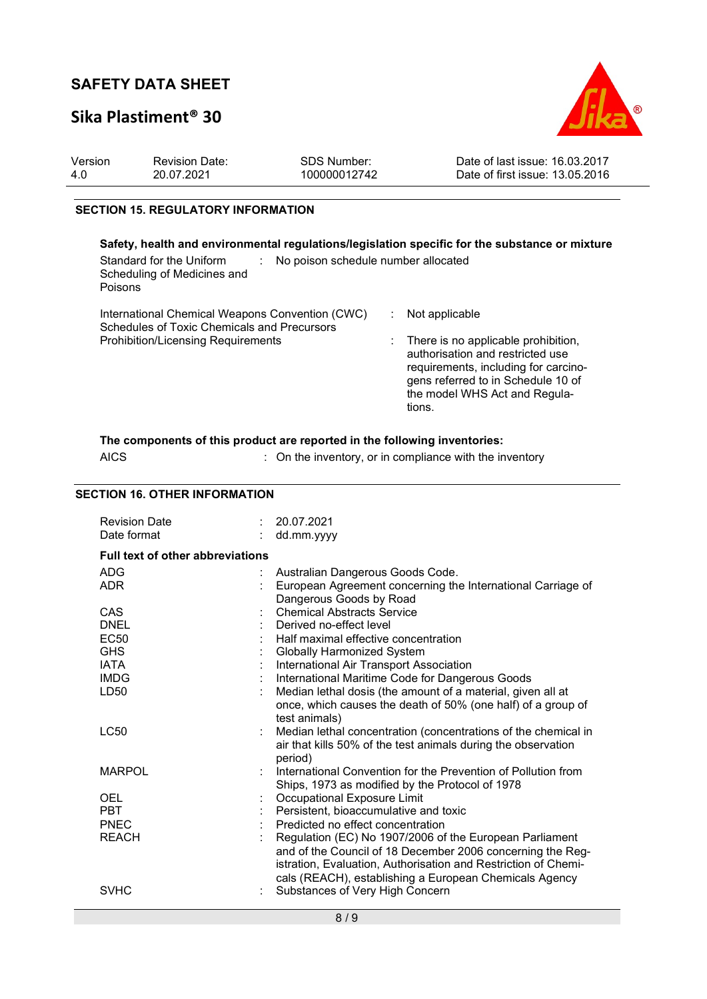### Sika Plastiment® 30



| Version | <b>Revision Date:</b> | SDS Number:  | Date of last issue: 16.03.2017  |
|---------|-----------------------|--------------|---------------------------------|
| 4.0     | 20.07.2021            | 100000012742 | Date of first issue: 13.05.2016 |
|         |                       |              |                                 |

#### SECTION 15. REGULATORY INFORMATION

#### Safety, health and environmental regulations/legislation specific for the substance or mixture Standard for the Uniform Scheduling of Medicines and Poisons : No poison schedule number allocated International Chemical Weapons Convention (CWC) Schedules of Toxic Chemicals and Precursors : Not applicable Prohibition/Licensing Requirements : There is no applicable prohibition, authorisation and restricted use requirements, including for carcinogens referred to in Schedule 10 of the model WHS Act and Regulations.

#### The components of this product are reported in the following inventories:

AICS **Subset AICS** : On the inventory, or in compliance with the inventory

#### SECTION 16. OTHER INFORMATION

| <b>Revision Date</b><br>Date format     |  | 20.07.2021<br>dd.mm.yyyy                                                                                              |  |
|-----------------------------------------|--|-----------------------------------------------------------------------------------------------------------------------|--|
| <b>Full text of other abbreviations</b> |  |                                                                                                                       |  |
| <b>ADG</b>                              |  | Australian Dangerous Goods Code.                                                                                      |  |
| <b>ADR</b>                              |  | European Agreement concerning the International Carriage of<br>Dangerous Goods by Road                                |  |
| CAS                                     |  | <b>Chemical Abstracts Service</b>                                                                                     |  |
| <b>DNEL</b>                             |  | Derived no-effect level                                                                                               |  |
| <b>EC50</b>                             |  | Half maximal effective concentration                                                                                  |  |
| <b>GHS</b>                              |  | Globally Harmonized System                                                                                            |  |
| <b>IATA</b>                             |  | International Air Transport Association                                                                               |  |
| <b>IMDG</b>                             |  | International Maritime Code for Dangerous Goods                                                                       |  |
| LD50                                    |  | Median lethal dosis (the amount of a material, given all at                                                           |  |
|                                         |  | once, which causes the death of 50% (one half) of a group of<br>test animals)                                         |  |
| <b>LC50</b>                             |  | Median lethal concentration (concentrations of the chemical in                                                        |  |
|                                         |  | air that kills 50% of the test animals during the observation<br>period)                                              |  |
| <b>MARPOL</b>                           |  | International Convention for the Prevention of Pollution from                                                         |  |
|                                         |  | Ships, 1973 as modified by the Protocol of 1978                                                                       |  |
| <b>OEL</b>                              |  | Occupational Exposure Limit                                                                                           |  |
| <b>PBT</b>                              |  | Persistent, bioaccumulative and toxic                                                                                 |  |
| <b>PNEC</b>                             |  | Predicted no effect concentration                                                                                     |  |
| <b>REACH</b>                            |  | Regulation (EC) No 1907/2006 of the European Parliament<br>and of the Council of 18 December 2006 concerning the Reg- |  |
|                                         |  | istration, Evaluation, Authorisation and Restriction of Chemi-                                                        |  |
| <b>SVHC</b>                             |  | cals (REACH), establishing a European Chemicals Agency<br>Substances of Very High Concern                             |  |